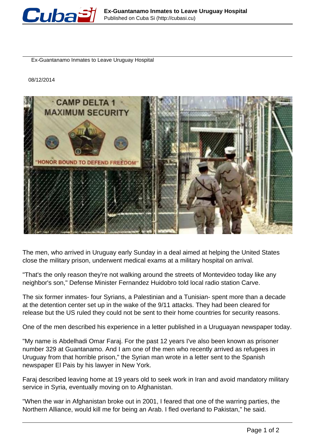

Ex-Guantanamo Inmates to Leave Uruguay Hospital

08/12/2014



The men, who arrived in Uruguay early Sunday in a deal aimed at helping the United States close the military prison, underwent medical exams at a military hospital on arrival.

"That's the only reason they're not walking around the streets of Montevideo today like any neighbor's son," Defense Minister Fernandez Huidobro told local radio station Carve.

The six former inmates- four Syrians, a Palestinian and a Tunisian- spent more than a decade at the detention center set up in the wake of the 9/11 attacks. They had been cleared for release but the US ruled they could not be sent to their home countries for security reasons.

One of the men described his experience in a letter published in a Uruguayan newspaper today.

"My name is Abdelhadi Omar Faraj. For the past 12 years I've also been known as prisoner number 329 at Guantanamo. And I am one of the men who recently arrived as refugees in Uruguay from that horrible prison," the Syrian man wrote in a letter sent to the Spanish newspaper El Pais by his lawyer in New York.

Faraj described leaving home at 19 years old to seek work in Iran and avoid mandatory military service in Syria, eventually moving on to Afghanistan.

"When the war in Afghanistan broke out in 2001, I feared that one of the warring parties, the Northern Alliance, would kill me for being an Arab. I fled overland to Pakistan," he said.